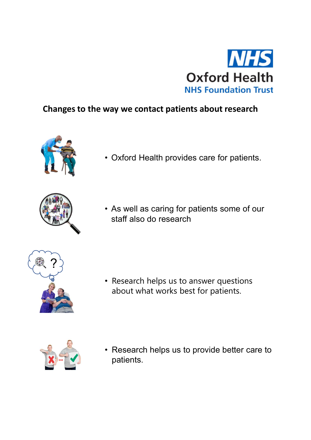

## Changes to the way we contact patients about research





• Oxford Health<br>• NHS Foundation Trust<br>• As well as caring for patients some of our<br>• As well as caring for patients some of our<br>• As well as caring for patients some of our<br>• staff also do research staff also do research



• Research helps us to answer questions about what works best for patients.



• Research helps us to answer questions<br>• Research helps us to answer questions<br>• Research helps us to provide better care to<br>patients. patients.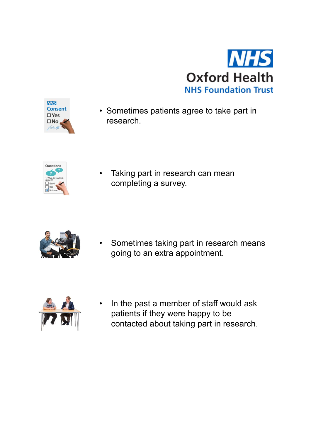



research.



completing a survey.



• Sometimes patients agree to take part in<br>research.<br><br><br><br><br><br><br><br><br><br><br><br>Sometimes taking part in research means<br><br><br>going to an extra appointment. going to an extra appointment.



• Taking part in research can mean<br>
completing a survey.<br>
• Sometimes taking part in research means<br>
going to an extra appointment.<br>
• In the past a member of staff would ask<br>
patients if they were happy to be<br>
contacted a patients if they were happy to be contacted about taking part in research.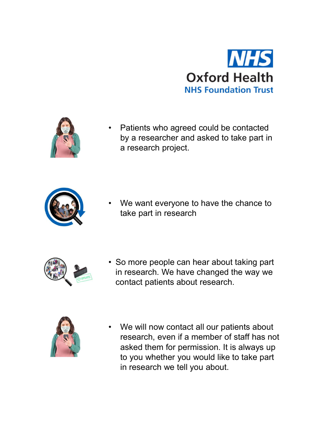



by a researcher and asked to take part in a research project. **Oxford Health**<br>• Patients who agreed could be contacted<br>by a researcher and asked to take part in<br>• The want everyone to have the chance to<br>take part in research



take part in research



• Patients who agreed could be contacted<br>by a researcher and asked to take part in<br>a research project.<br>• We want everyone to have the chance to<br>take part in research<br>• So more people can hear about taking part<br>in research. in research. We have changed the way we contact patients about research.



• We want everyone to have the chance to<br>take part in research<br>
• So more people can hear about taking part<br>
in research. We have changed the way we<br>
contact patients about research.<br>
• We will now contact all our patients We want everyone to have the chance to<br>take part in research<br>i research. We have changed the way we<br>ontact patients about research.<br>We will now contact all our patients about<br>research, even if a member of staff has not<br>ask asked them for permission. It is always up to you whether you would like to take part in research we tell you about.